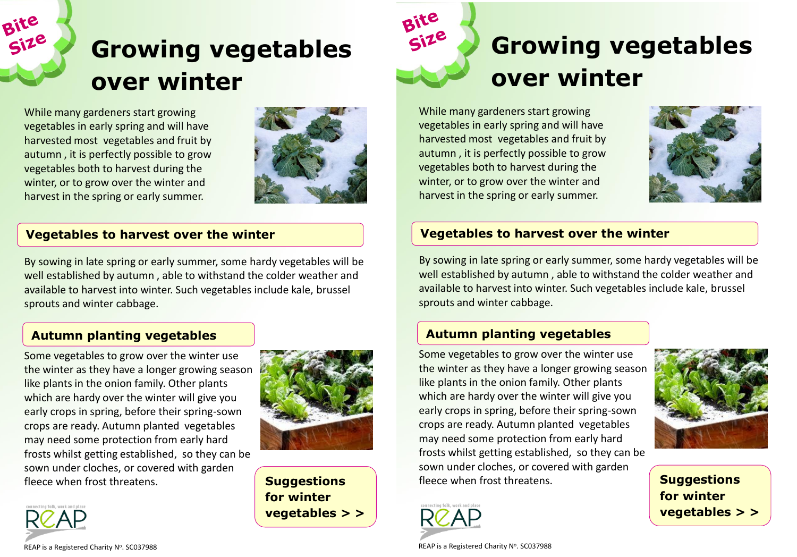# **Growing vegetables over winter**

While many gardeners start growing vegetables in early spring and will have harvested most vegetables and fruit by autumn , it is perfectly possible to grow vegetables both to harvest during the winter, or to grow over the winter and harvest in the spring or early summer.

Bite



#### **Vegetables to harvest over the winter**

By sowing in late spring or early summer, some hardy vegetables will be well established by autumn , able to withstand the colder weather and available to harvest into winter. Such vegetables include kale, brussel sprouts and winter cabbage.

## **Autumn planting vegetables**

Some vegetables to grow over the winter use the winter as they have a longer growing season like plants in the onion family. Other plants which are hardy over the winter will give you early crops in spring, before their spring-sown crops are ready. Autumn planted vegetables may need some protection from early hard frosts whilst getting established, so they can be sown under cloches, or covered with garden fleece when frost threatens.



**Suggestions for winter vegetables > >** 



While many gardeners start growing vegetables in early spring and will have harvested most vegetables and fruit by autumn , it is perfectly possible to grow vegetables both to harvest during the winter, or to grow over the winter and harvest in the spring or early summer.

Bite

Size



#### **Vegetables to harvest over the winter**

By sowing in late spring or early summer, some hardy vegetables will be well established by autumn , able to withstand the colder weather and available to harvest into winter. Such vegetables include kale, brussel sprouts and winter cabbage.

## **Autumn planting vegetables**

Some vegetables to grow over the winter use the winter as they have a longer growing season like plants in the onion family. Other plants which are hardy over the winter will give you early crops in spring, before their spring-sown crops are ready. Autumn planted vegetables may need some protection from early hard frosts whilst getting established, so they can be sown under cloches, or covered with garden fleece when frost threatens.



**Suggestions for winter vegetables > >** 



RCAP